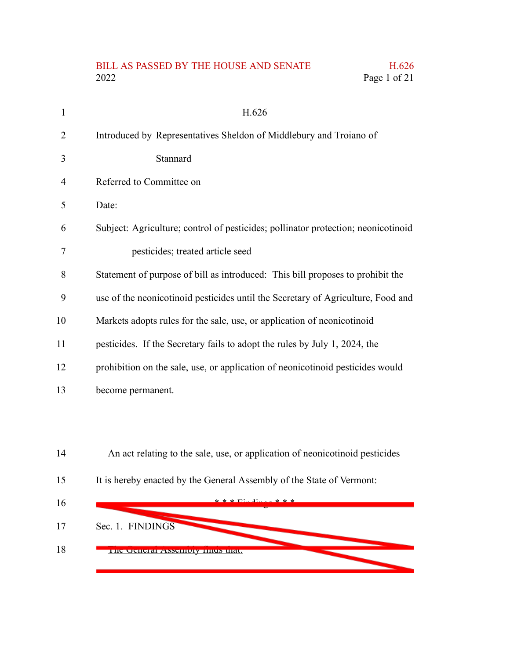## BILL AS PASSED BY THE HOUSE AND SENATE H.626<br>2022 Page 1 of 21 Page 1 of 21

| 1              | H.626                                                                             |
|----------------|-----------------------------------------------------------------------------------|
| $\overline{2}$ | Introduced by Representatives Sheldon of Middlebury and Troiano of                |
| 3              | Stannard                                                                          |
| 4              | Referred to Committee on                                                          |
| 5              | Date:                                                                             |
| 6              | Subject: Agriculture; control of pesticides; pollinator protection; neonicotinoid |
| 7              | pesticides; treated article seed                                                  |
| 8              | Statement of purpose of bill as introduced: This bill proposes to prohibit the    |
| 9              | use of the neonicotinoid pesticides until the Secretary of Agriculture, Food and  |
| 10             | Markets adopts rules for the sale, use, or application of neonicotinoid           |
| 11             | pesticides. If the Secretary fails to adopt the rules by July 1, 2024, the        |
| 12             | prohibition on the sale, use, or application of neonicotinoid pesticides would    |
| 13             | become permanent.                                                                 |
|                |                                                                                   |
|                |                                                                                   |
| 14             | An act relating to the sale, use, or application of neonicotinoid pesticides      |
| 15             | It is hereby enacted by the General Assembly of the State of Vermont:             |
| 16             |                                                                                   |
| 17             | Sec. 1. FINDINGS                                                                  |
| 18             | THE OCHERI ASSEMBLY THIUS URI.                                                    |

- 1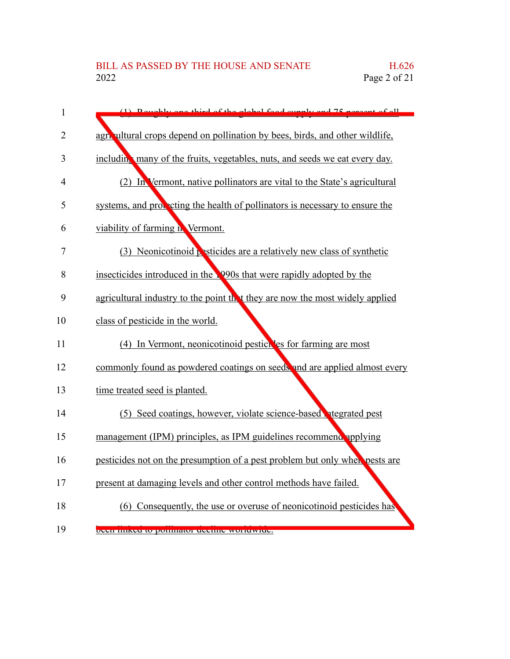| $\mathbf{1}$   | $(1)$ Doughly and third of the global food quanty and 75 normant of all       |
|----------------|-------------------------------------------------------------------------------|
| 2              | agricultural crops depend on pollination by bees, birds, and other wildlife,  |
| 3              | including many of the fruits, vegetables, nuts, and seeds we eat every day.   |
| $\overline{4}$ | (2) In Vermont, native pollinators are vital to the State's agricultural      |
| 5              | systems, and proceding the health of pollinators is necessary to ensure the   |
| 6              | viability of farming in Vermont.                                              |
| 7              | (3) Neonicotinoid pesticides are a relatively new class of synthetic          |
| 8              | insecticides introduced in the 1990s that were rapidly adopted by the         |
| 9              | agricultural industry to the point the t they are now the most widely applied |
| 10             | class of pesticide in the world.                                              |
| 11             | (4) In Vermont, neonicotinoid pesticides for farming are most                 |
| 12             | commonly found as powdered coatings on seeds and are applied almost every     |
| 13             | time treated seed is planted.                                                 |
| 14             | (5) Seed coatings, however, violate science-based hedgrated pest              |
| 15             | management (IPM) principles, as IPM guidelines recommend applying             |
| 16             | pesticides not on the presumption of a pest problem but only when pests are   |
| 17             | present at damaging levels and other control methods have failed.             |
| 18             | (6) Consequently, the use or overuse of neonicotinoid pesticides has          |
| 19             | been miked to pommator decime worldwide.                                      |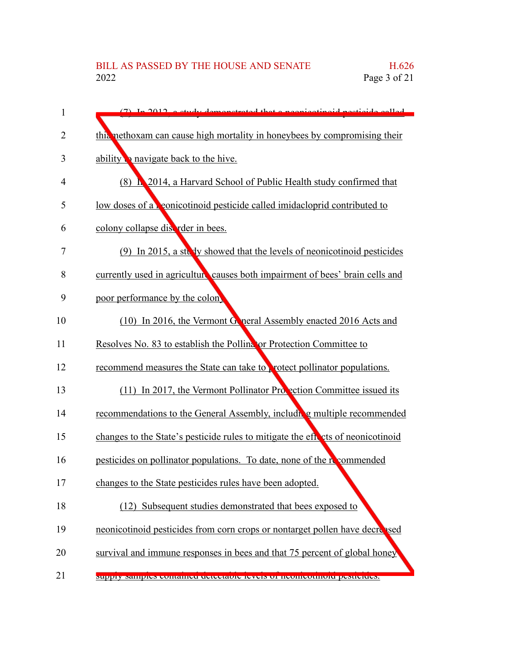| 1              | (7) In 2012, a study demonstrated that a noonigating d nosticide solled         |
|----------------|---------------------------------------------------------------------------------|
| $\overline{2}$ | this nethoxam can cause high mortality in honeybees by compromising their       |
| 3              | ability a navigate back to the hive.                                            |
| 4              | (8) <b>h</b> 2014, a Harvard School of Public Health study confirmed that       |
| 5              | low doses of a conicotinoid pesticide called imidacloprid contributed to        |
| 6              | colony collapse distant rder in bees.                                           |
| 7              | (9) In 2015, a steady showed that the levels of neonicotinoid pesticides        |
| 8              | currently used in agriculture causes both impairment of bees' brain cells and   |
| 9              | poor performance by the colon                                                   |
| 10             | (10) In 2016, the Vermont Goneral Assembly enacted 2016 Acts and                |
| 11             | Resolves No. 83 to establish the Polling or Protection Committee to             |
| 12             | recommend measures the State can take to protect pollinator populations.        |
| 13             | (11) In 2017, the Vermont Pollinator Procetion Committee issued its             |
| 14             | recommendations to the General Assembly, including multiple recommended         |
| 15             | changes to the State's pesticide rules to mitigate the effects of neonicotinoid |
| 16             | pesticides on pollinator populations. To date, none of the recommended          |
| 17             | changes to the State pesticides rules have been adopted.                        |
| 18             | (12) Subsequent studies demonstrated that bees exposed to                       |
| 19             | neonicotinoid pesticides from corn crops or nontarget pollen have decrepsed     |
| 20             | survival and immune responses in bees and that 75 percent of global honey       |
| 21             | миррту запирием социанией истеставле теметь от исописоциюта ремистера.          |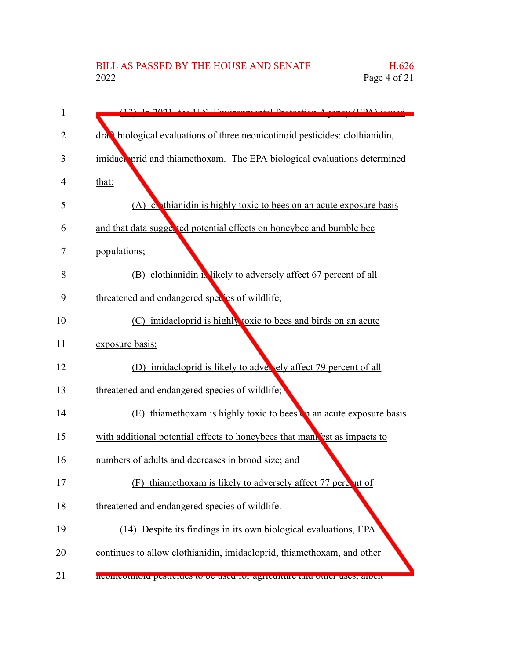| 1  | $(12)$ In 2021 the U.S. Environmental Dectection Agency (EDA) issued                      |
|----|-------------------------------------------------------------------------------------------|
| 2  | dra, <sup>t</sup> biological evaluations of three neonicotinoid pesticides: clothianidin, |
| 3  | imidaen prid and thiamethoxam. The EPA biological evaluations determined                  |
| 4  | that:                                                                                     |
| 5  | (A) continuity only toxic to bee on an acute exposure basis                               |
| 6  | and that data suggested potential effects on honeybee and bumble bee                      |
| 7  | populations;                                                                              |
| 8  | (B) clothianidin in likely to adversely affect 67 percent of all                          |
| 9  | threatened and endangered species of wildlife;                                            |
| 10 | (C) imidacloprid is highly toxic to bees and birds on an acute                            |
| 11 | exposure basis;                                                                           |
| 12 | (D) imidacloprid is likely to adversely affect 79 percent of all                          |
| 13 | threatened and endangered species of wildlife;                                            |
| 14 | (E) thiamethoxam is highly toxic to bees on an acute exposure basis                       |
| 15 | with additional potential effects to honeybees that mani est as impacts to                |
| 16 | numbers of adults and decreases in brood size; and                                        |
| 17 | thiamethoxam is likely to adversely affect 77 percent of<br>(F)                           |
| 18 | threatened and endangered species of wildlife.                                            |
| 19 | (14) Despite its findings in its own biological evaluations, EPA                          |
| 20 | continues to allow clothianidin, imidacloprid, thiamethoxam, and other                    |
| 21 | incompoundid pesucides to be used for agriculture and other uses, afferr                  |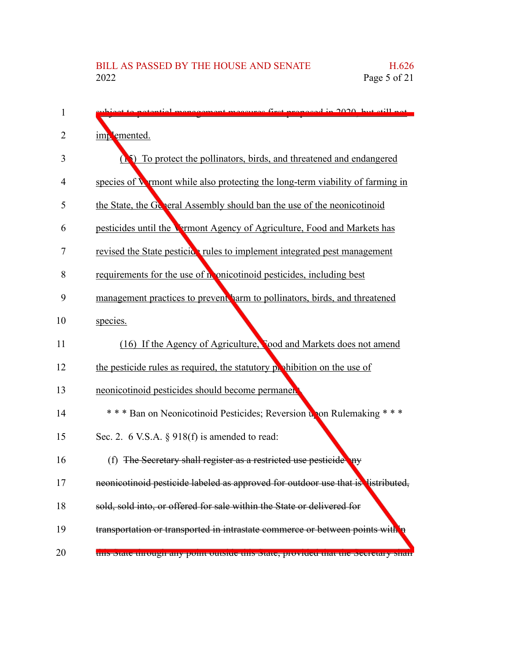| 1  | nonggamant magawag first proposed in 2020, but still not                          |
|----|-----------------------------------------------------------------------------------|
| 2  | implemented.                                                                      |
| 3  | (A) To protect the pollinators, birds, and threatened and endangered              |
| 4  | species of Wymont while also protecting the long-term viability of farming in     |
| 5  | the State, the General Assembly should ban the use of the neonicotinoid           |
| 6  | pesticides until the Vermont Agency of Agriculture, Food and Markets has          |
| 7  | revised the State pesticics rules to implement integrated pest management         |
| 8  | requirements for the use of nonicotinoid pesticides, including best               |
| 9  | management practices to prevent harm to pollinators, birds, and threatened        |
| 10 | species.                                                                          |
| 11 | (16) If the Agency of Agriculture, Tood and Markets does not amend                |
| 12 | the pesticide rules as required, the statutory probabilition on the use of        |
| 13 | neonicotinoid pesticides should become permanen                                   |
| 14 | *** Ban on Neonicotinoid Pesticides; Reversion upon Rulemaking ***                |
| 15 | Sec. 2. 6 V.S.A. $\S$ 918(f) is amended to read:                                  |
| 16 | (f) The Secretary shall register as a restricted use pesticide any                |
| 17 | neonicotinoid pesticide labeled as approved for outdoor use that is listributed,  |
| 18 | sold, sold into, or offered for sale within the State or delivered for            |
| 19 | transportation or transported in intrastate commerce or between points with       |
| 20 | this state unough any point outside this state, provided that the secretary share |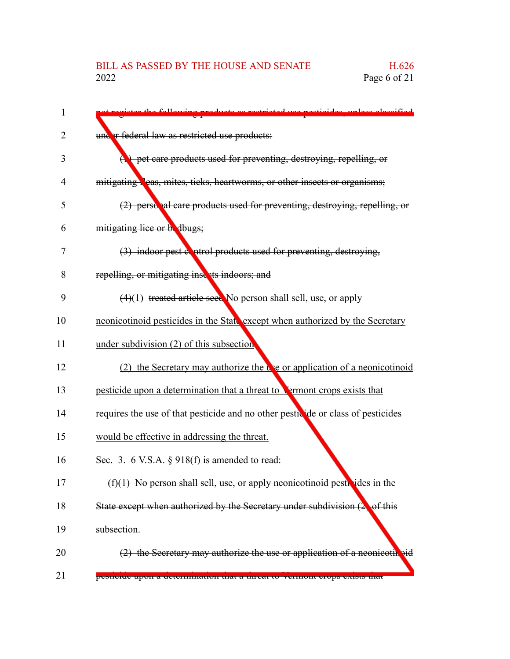| re rectricted use necticides unless eleccified                                              |
|---------------------------------------------------------------------------------------------|
| under federal law as restricted use products:                                               |
| $\left(\frac{1}{2}\right)$ pet care products used for preventing, destroying, repelling, or |
| mitigating leas, mites, ticks, heartworms, or other insects or organisms;                   |
| (2) personal care products used for preventing, destroying, repelling, or                   |
| mitigating lice or budbugs;                                                                 |
| (3) indoor pest control products used for preventing, destroying,                           |
| repelling, or mitigating insects indoors; and                                               |
| (4)(1) treated article seed No person shall sell, use, or apply                             |
| neonicotinoid pesticides in the State except when authorized by the Secretary               |
| under subdivision (2) of this subsection                                                    |
| (2) the Secretary may authorize the $\mathbf{r}$ and application of a neonicotinoid         |
| pesticide upon a determination that a threat to <b>Vermont</b> crops exists that            |
| requires the use of that pesticide and no other pesticide or class of pesticides            |
| would be effective in addressing the threat.                                                |
| Sec. 3. 6 V.S.A. $\S$ 918(f) is amended to read:                                            |
| $(f)(1)$ No person shall sell, use, or apply neonicotinoid pesticides in the                |
| State except when authorized by the Secretary under subdivision $(2)$<br>of this            |
| subsection.                                                                                 |
| $(2)$ the Secretary may authorize the use or application of a neonicotil pid                |
| ременее прои а непенищаной шага интеат ю усицопт сгору схиму шаг                            |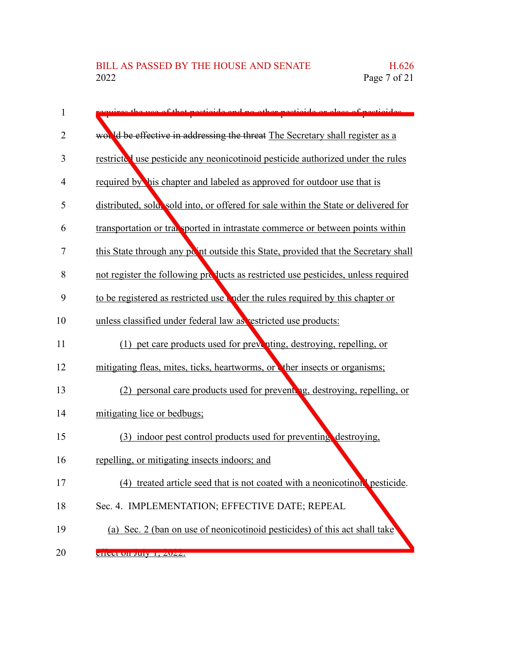| 1              | ot pertiaide and no other pertiaide or close of pertiaides                          |
|----------------|-------------------------------------------------------------------------------------|
| 2              | would be effective in addressing the threat The Secretary shall register as a       |
| 3              | restricted use pesticide any neonicotinoid pesticide authorized under the rules     |
| 4              | required by his chapter and labeled as approved for outdoor use that is             |
| 5              | distributed, sola, sold into, or offered for sale within the State or delivered for |
| 6              | transportation or transported in intrastate commerce or between points within       |
| $\overline{7}$ | this State through any point outside this State, provided that the Secretary shall  |
| 8              | not register the following products as restricted use pesticides, unless required   |
| 9              | to be registered as restricted use the rules required by this chapter or            |
| 10             | unless classified under federal law as restricted use products:                     |
| 11             | (1) pet care products used for preventing, destroying, repelling, or                |
| 12             | mitigating fleas, mites, ticks, heartworms, or ther insects or organisms;           |
| 13             | (2) personal care products used for preventing, destroying, repelling, or           |
| 14             | mitigating lice or bedbugs;                                                         |
| 15             | (3) indoor pest control products used for preventing destroying,                    |
| 16             | repelling, or mitigating insects indoors; and                                       |
| 17             | treated article seed that is not coated with a neonicotinoul pesticide.<br>(4)      |
| 18             | Sec. 4. IMPLEMENTATION; EFFECTIVE DATE; REPEAL                                      |
| 19             | (a) Sec. 2 (ban on use of neonicotinoid pesticides) of this act shall take          |
| 20             | CHCCL ON JUIY 1, 2022.                                                              |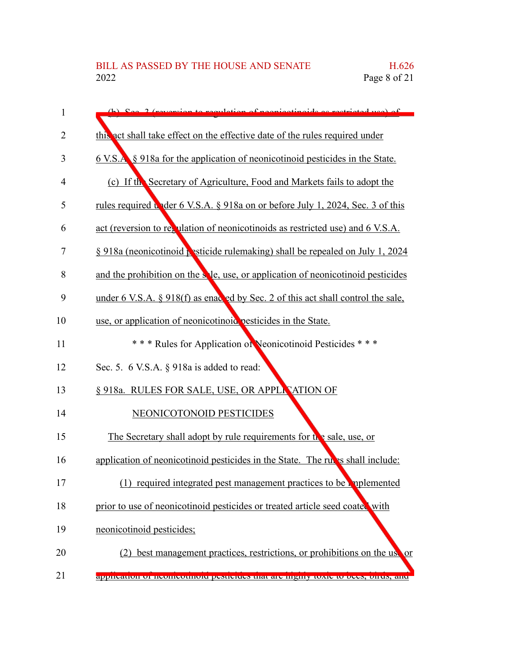| 1              | to regulation of peopleotipoids as restricted use of                                 |
|----------------|--------------------------------------------------------------------------------------|
| $\overline{2}$ | this act shall take effect on the effective date of the rules required under         |
| 3              | <u>6 V.S.A. § 918a for the application of neonicotinoid pesticides in the State.</u> |
| 4              | (c) If the Secretary of Agriculture, Food and Markets fails to adopt the             |
| 5              | rules required under 6 V.S.A. § 918a on or before July 1, 2024, Sec. 3 of this       |
| 6              | act (reversion to ret ulation of neonicotinoids as restricted use) and 6 V.S.A.      |
| 7              | § 918a (neonicotinoid <b>R</b> sticide rulemaking) shall be repealed on July 1, 2024 |
| 8              | and the prohibition on the sele, use, or application of neonicotinoid pesticides     |
| 9              | under 6 V.S.A. § 918(f) as enacted by Sec. 2 of this act shall control the sale,     |
| 10             | use, or application of neonicotinoid pesticides in the State.                        |
| 11             | *** Rules for Application of Neonicotinoid Pesticides ***                            |
| 12             | Sec. 5. 6 V.S.A. § 918a is added to read:                                            |
| 13             | § 918a. RULES FOR SALE, USE, OR APPLE ATION OF                                       |
| 14             | NEONICOTONOID PESTICIDES                                                             |
| 15             | The Secretary shall adopt by rule requirements for the sale, use, or                 |
| 16             | application of neonicotinoid pesticides in the State. The rules shall include:       |
| 17             | (1) required integrated pest management practices to be explemented                  |
| 18             | prior to use of neonicotinoid pesticides or treated article seed coated with         |
| 19             | neonicotinoid pesticides;                                                            |
| 20             | best management practices, restrictions, or prohibitions on the use or               |
| 21             | аррисанон от неописонном резистает нагателизму юме то осем, он ам.                   |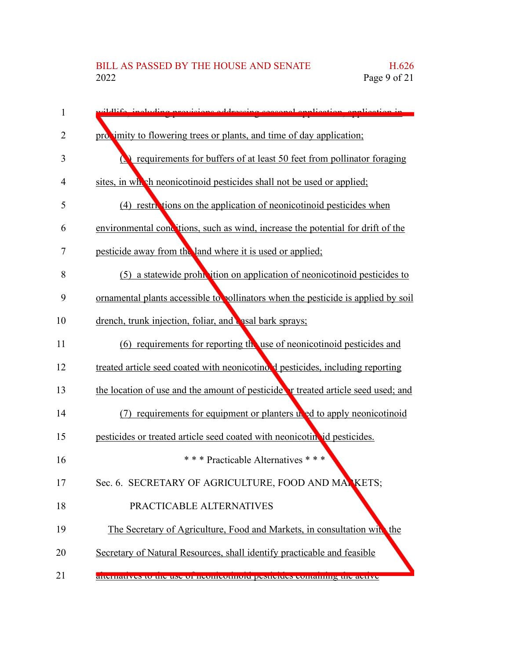| 1  | delife including provisions addressing second englisation, englisation in               |
|----|-----------------------------------------------------------------------------------------|
| 2  | provimity to flowering trees or plants, and time of day application;                    |
| 3  | requirements for buffers of at least 50 feet from pollinator foraging                   |
| 4  | sites, in which neonicotinoid pesticides shall not be used or applied;                  |
| 5  | (4) restrictions on the application of neonicotinoid pesticides when                    |
| 6  | environmental conditions, such as wind, increase the potential for drift of the         |
| 7  | pesticide away from the land where it is used or applied;                               |
| 8  | (5) a statewide prohibition on application of neonicotinoid pesticides to               |
| 9  | ornamental plants accessible to pollinators when the pesticide is applied by soil       |
| 10 | drench, trunk injection, foliar, and <b>casal bark sprays</b> ;                         |
| 11 | $(6)$ requirements for reporting thouse of neonicotinoid pesticides and                 |
| 12 | treated article seed coated with neonicotino. I pesticides, including reporting         |
| 13 | the location of use and the amount of pesticide <b>r</b> treated article seed used; and |
| 14 | (7) requirements for equipment or planters uned to apply neonicotinoid                  |
| 15 | pesticides or treated article seed coated with neonicotin id pesticides.                |
| 16 | *** Practicable Alternatives ***                                                        |
| 17 | Sec. 6. SECRETARY OF AGRICULTURE, FOOD AND MANKETS;                                     |
| 18 | PRACTICABLE ALTERNATIVES                                                                |
| 19 | The Secretary of Agriculture, Food and Markets, in consultation with the                |
| 20 | Secretary of Natural Resources, shall identify practicable and feasible                 |
| 21 | anchianves to the use of heomicounoid pesucides containing the active                   |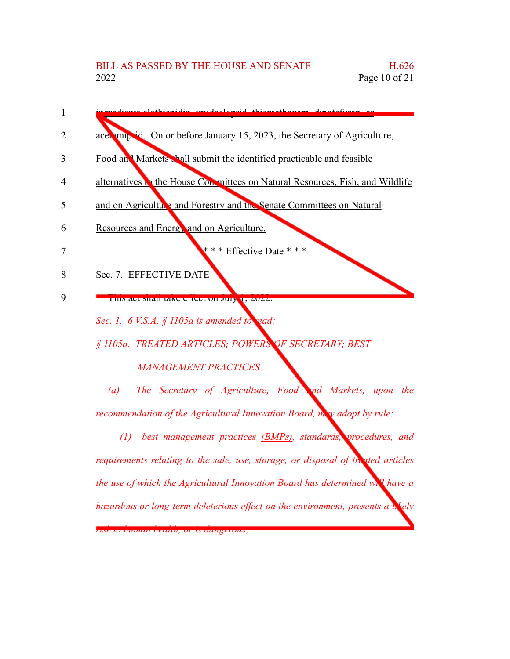

## *MANAGEMENT PRACTICES*

*(a) The Secretary of Agriculture, Food and Markets, upon the recommendation of the Agricultural Innovation Board, may adopt by rule:*

*(1) best management practices (BMPs), standards, procedures, and requirements relating to the sale, use, storage, or disposal of treated articles the use of which the Agricultural Innovation Board has determined will have a hazardous or long-term deleterious effect on the environment, presents a likely risk to human health, or is dangerous;*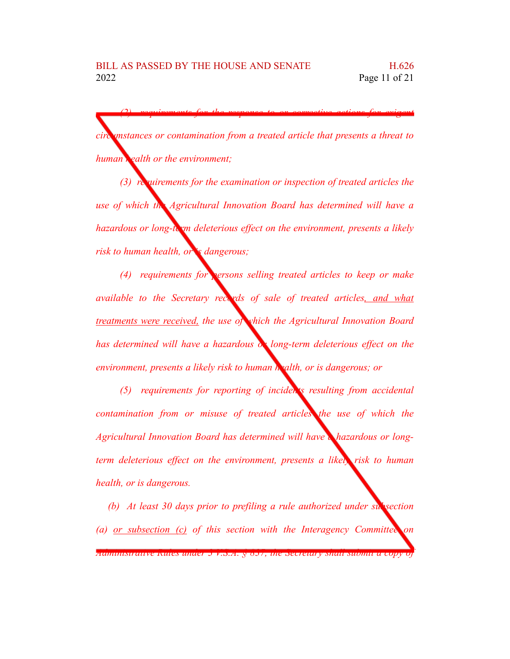*(2) requirements for the response to or corrective actions for exigent circumstances or contamination from a treated article that presents a threat to human health or the environment;*

*(3) requirements for the examination or inspection of treated articles the use of which the Agricultural Innovation Board has determined will have a hazardous or long-term deleterious effect on the environment, presents a likely risk to human health, or is dangerous;*

*(4) requirements for persons selling treated articles to keep or make available to the Secretary records of sale of treated articles, and what treatments were received, the use of which the Agricultural Innovation Board has determined will have a hazardous or long-term deleterious effect on the environment, presents a likely risk to human health, or is dangerous; or*

*(5) requirements for reporting of incidents resulting from accidental contamination from or misuse of treated articles the use of which the Agricultural Innovation Board has determined will have a hazardous or longterm deleterious effect on the environment, presents a likely risk to human health, or is dangerous.*

*(b) At least 30 days prior to prefiling a rule authorized under subsection (a) or subsection (c) of this section with the Interagency Committee on Administrative Rules under 3 V.S.A. § 837, the Secretary shall submit a copy of*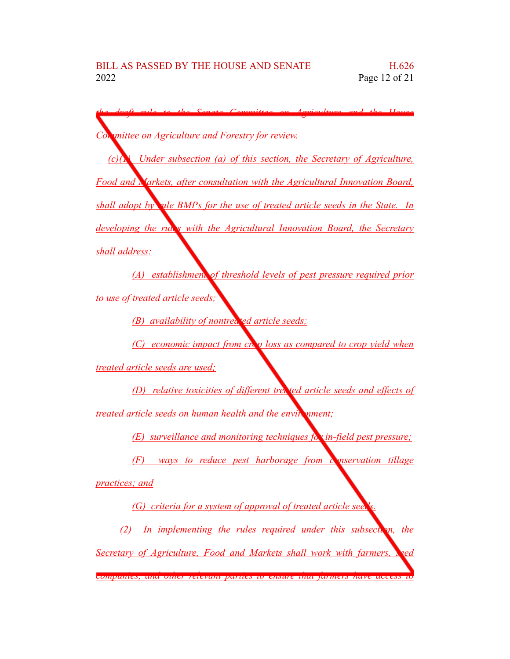*the draft rule to the Senate Committee on Agriculture and the House Committee on Agriculture and Forestry for review. (c)(1) Under subsection (a) of this section, the Secretary of Agriculture, Food and Markets, after consultation with the Agricultural Innovation Board, shall adopt by rule BMPs for the use of treated article seeds in the State. In developing the rules with the Agricultural Innovation Board, the Secretary shall address: (A) establishment of threshold levels of pest pressure required prior to use of treated article seeds; (B) availability of nontreated article seeds; (C) economic impact from crop loss as compared to crop yield when treated article seeds are used; (D) relative toxicities of different treated article seeds and effects of treated article <u>seeds on human health and the environment;*</u> *(E) surveillance and monitoring techniques for in-field pest pressure; (F) ways to reduce pest harborage from conservation tillage practices; and (G) criteria for a system of approval of treated article seeds. (2) In implementing the rules required under this subsection, the Secretary of Agriculture, Food and Markets shall work with farmers, seed companies, and other relevant parties to ensure that farmers have access to*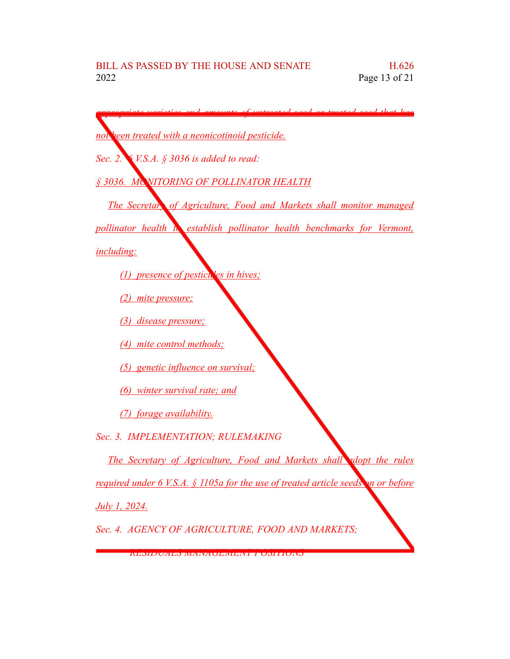*appropriate varieties and amounts of untreated seed or treated seed that has*

| not been treated with a neonicotinoid pesticide.                                  |
|-----------------------------------------------------------------------------------|
| Sec. 2. $\leq$ <i>V.S.A.</i> $\frac{2}{3}$ 3036 is added to read:                 |
| § 3036. MC NITORING OF POLLINATOR HEALTH                                          |
| <b>The Secretar, of Agriculture, Food and Markets shall monitor managed</b>       |
| pollinator health to establish pollinator health benchmarks for Vermont,          |
| <i>including:</i>                                                                 |
| (1) presence of pesticules in hives;                                              |
| (2) mite pressure;                                                                |
| (3) disease pressure;                                                             |
| (4) mite control methods;                                                         |
| (5) genetic influence on survival;                                                |
| (6) winter survival rate; and                                                     |
| (7) forage availability.                                                          |
| Sec. 3. IMPLEMENTATION; RULEMAKING                                                |
| The Secretary of Agriculture, Food and Markets shall adopt the rules              |
| required under 6 V.S.A. § 1105a for the use of treated article seeds on or before |
| July 1, 2024.                                                                     |
| Sec. 4. AGENCY OF AGRICULTURE, FOOD AND MARKETS;                                  |

*RESIDUALS MANAGEMENT POSITIONS*

◥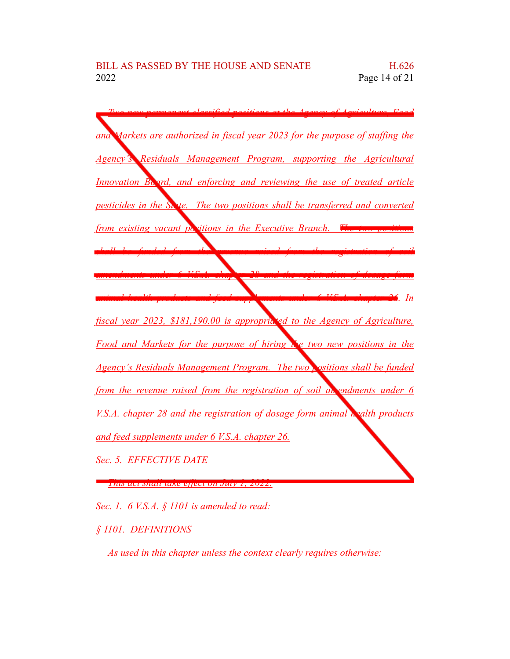

*Sec. 1. 6 V.S.A. § 1101 is amended to read:*

*§ 1101. DEFINITIONS*

*As used in this chapter unless the context clearly requires otherwise:*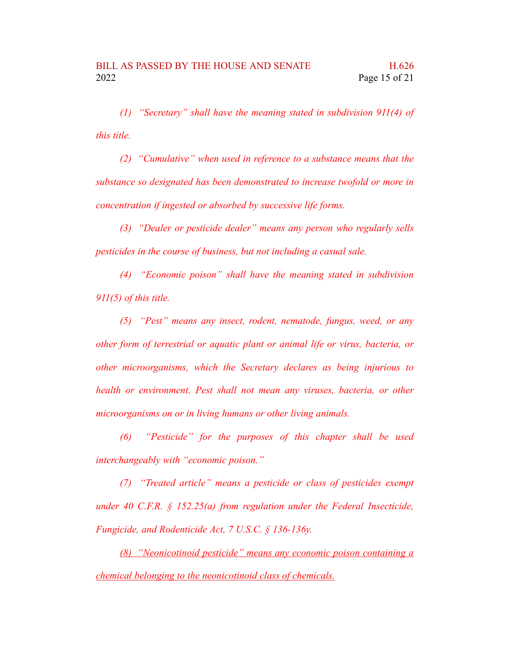*(1) "Secretary" shall have the meaning stated in subdivision 911(4) of this title.*

*(2) "Cumulative" when used in reference to a substance means that the substance so designated has been demonstrated to increase twofold or more in concentration if ingested or absorbed by successive life forms.*

*(3) "Dealer or pesticide dealer" means any person who regularly sells pesticides in the course of business, but not including a casual sale.*

*(4) "Economic poison" shall have the meaning stated in subdivision 911(5) of this title.*

*(5) "Pest" means any insect, rodent, nematode, fungus, weed, or any other form of terrestrial or aquatic plant or animal life or virus, bacteria, or other microorganisms, which the Secretary declares as being injurious to health or environment. Pest shall not mean any viruses, bacteria, or other microorganisms on or in living humans or other living animals.*

*(6) "Pesticide" for the purposes of this chapter shall be used interchangeably with "economic poison."*

*(7) "Treated article" means a pesticide or class of pesticides exempt under 40 C.F.R. § 152.25(a) from regulation under the Federal Insecticide, Fungicide, and Rodenticide Act, 7 U.S.C. § 136-136y.*

*(8) "Neonicotinoid pesticide" means any economic poison containing a chemical belonging to the neonicotinoid class of chemicals.*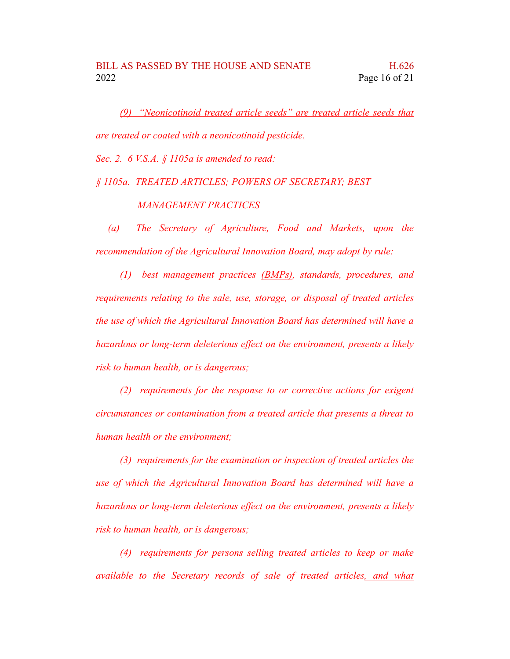*(9) "Neonicotinoid treated article seeds" are treated article seeds that are treated or coated with a neonicotinoid pesticide.*

*Sec. 2. 6 V.S.A. § 1105a is amended to read:*

*§ 1105a. TREATED ARTICLES; POWERS OF SECRETARY; BEST*

*MANAGEMENT PRACTICES*

*(a) The Secretary of Agriculture, Food and Markets, upon the recommendation of the Agricultural Innovation Board, may adopt by rule:*

*(1) best management practices (BMPs), standards, procedures, and requirements relating to the sale, use, storage, or disposal of treated articles the use of which the Agricultural Innovation Board has determined will have a hazardous or long-term deleterious effect on the environment, presents a likely risk to human health, or is dangerous;*

*(2) requirements for the response to or corrective actions for exigent circumstances or contamination from a treated article that presents a threat to human health or the environment;*

*(3) requirements for the examination or inspection of treated articles the use of which the Agricultural Innovation Board has determined will have a hazardous or long-term deleterious effect on the environment, presents a likely risk to human health, or is dangerous;*

*(4) requirements for persons selling treated articles to keep or make available to the Secretary records of sale of treated articles, and what*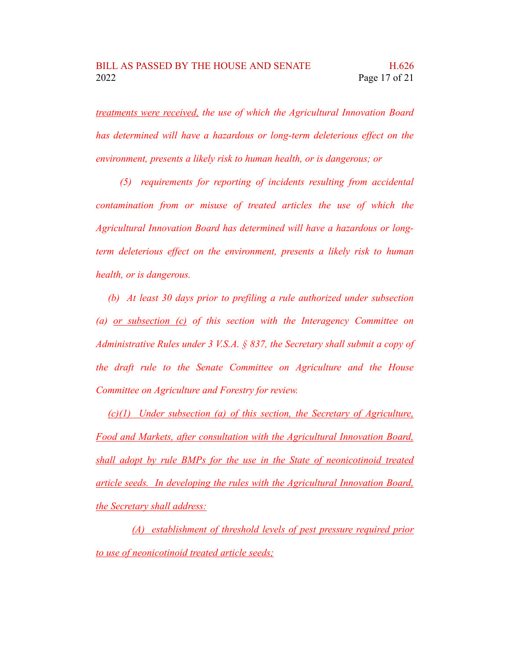*treatments were received, the use of which the Agricultural Innovation Board has determined will have a hazardous or long-term deleterious effect on the environment, presents a likely risk to human health, or is dangerous; or*

*(5) requirements for reporting of incidents resulting from accidental contamination from or misuse of treated articles the use of which the Agricultural Innovation Board has determined will have a hazardous or longterm deleterious effect on the environment, presents a likely risk to human health, or is dangerous.*

*(b) At least 30 days prior to prefiling a rule authorized under subsection (a) or subsection (c) of this section with the Interagency Committee on Administrative Rules under 3 V.S.A. § 837, the Secretary shall submit a copy of the draft rule to the Senate Committee on Agriculture and the House Committee on Agriculture and Forestry for review.*

*(c)(1) Under subsection (a) of this section, the Secretary of Agriculture, Food and Markets, after consultation with the Agricultural Innovation Board, shall adopt by rule BMPs for the use in the State of neonicotinoid treated article seeds. In developing the rules with the Agricultural Innovation Board, the Secretary shall address:*

*(A) establishment of threshold levels of pest pressure required prior to use of neonicotinoid treated article seeds;*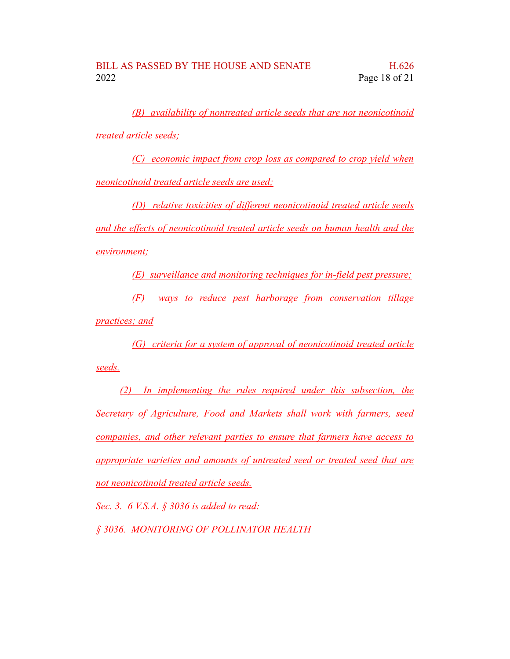*(B) availability of nontreated article seeds that are not neonicotinoid treated article seeds;*

*(C) economic impact from crop loss as compared to crop yield when neonicotinoid treated article seeds are used;*

*(D) relative toxicities of different neonicotinoid treated article seeds and the effects of neonicotinoid treated article seeds on human health and the environment;*

*(E) surveillance and monitoring techniques for in-field pest pressure;*

*(F) ways to reduce pest harborage from conservation tillage practices; and*

*(G) criteria for a system of approval of neonicotinoid treated article seeds.*

*(2) In implementing the rules required under this subsection, the Secretary of Agriculture, Food and Markets shall work with farmers, seed companies, and other relevant parties to ensure that farmers have access to appropriate varieties and amounts of untreated seed or treated seed that are not neonicotinoid treated article seeds.*

*Sec. 3. 6 V.S.A. § 3036 is added to read:*

*§ 3036. MONITORING OF POLLINATOR HEALTH*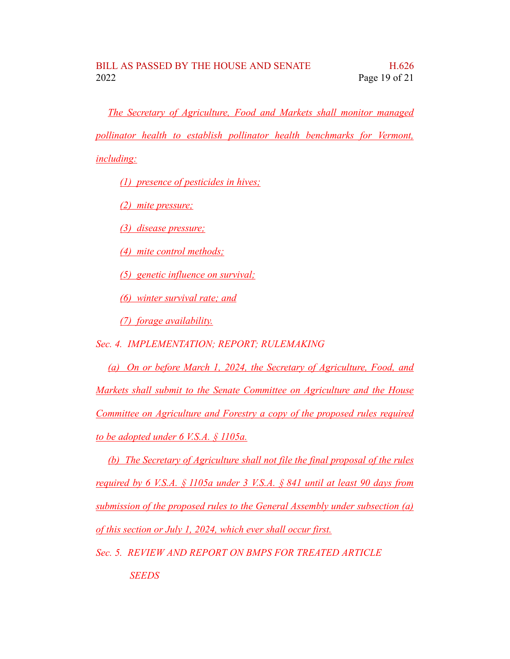*The Secretary of Agriculture, Food and Markets shall monitor managed pollinator health to establish pollinator health benchmarks for Vermont, including:*

*(1) presence of pesticides in hives;*

*(2) mite pressure;*

*(3) disease pressure;*

*(4) mite control methods;*

*(5) genetic influence on survival;*

*(6) winter survival rate; and*

*(7) forage availability.*

*Sec. 4. IMPLEMENTATION; REPORT; RULEMAKING*

*(a) On or before March 1, 2024, the Secretary of Agriculture, Food, and Markets shall submit to the Senate Committee on Agriculture and the House Committee on Agriculture and Forestry a copy of the proposed rules required to be adopted under 6 V.S.A. § 1105a.*

*(b) The Secretary of Agriculture shall not file the final proposal of the rules required by 6 V.S.A. § 1105a under 3 V.S.A. § 841 until at least 90 days from submission of the proposed rules to the General Assembly under subsection (a) of this section or July 1, 2024, which ever shall occur first.*

*Sec. 5. REVIEW AND REPORT ON BMPS FOR TREATED ARTICLE SEEDS*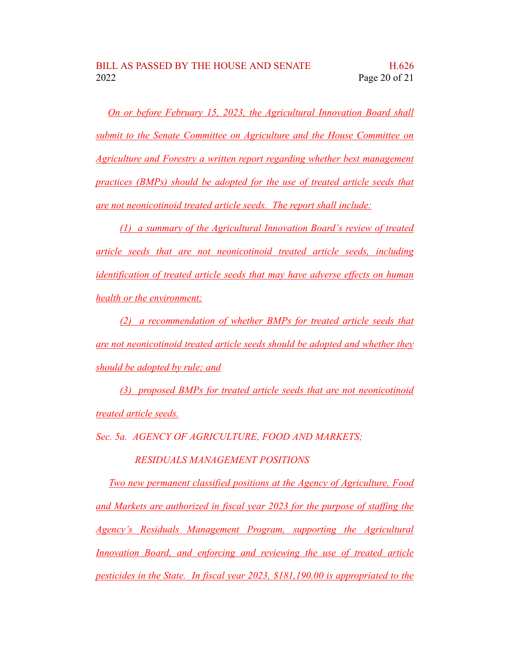*On or before February 15, 2023, the Agricultural Innovation Board shall submit to the Senate Committee on Agriculture and the House Committee on Agriculture and Forestry a written report regarding whether best management practices (BMPs) should be adopted for the use of treated article seeds that are not neonicotinoid treated article seeds. The report shall include:*

*(1) a summary of the Agricultural Innovation Board's review of treated article seeds that are not neonicotinoid treated article seeds, including identification of treated article seeds that may have adverse effects on human health or the environment;*

*(2) a recommendation of whether BMPs for treated article seeds that are not neonicotinoid treated article seeds should be adopted and whether they should be adopted by rule; and*

*(3) proposed BMPs for treated article seeds that are not neonicotinoid treated article seeds.*

*Sec. 5a. AGENCY OF AGRICULTURE, FOOD AND MARKETS;*

*RESIDUALS MANAGEMENT POSITIONS*

*Two new permanent classified positions at the Agency of Agriculture, Food and Markets are authorized in fiscal year 2023 for the purpose of staffing the Agency's Residuals Management Program, supporting the Agricultural Innovation Board, and enforcing and reviewing the use of treated article pesticides in the State. In fiscal year 2023, \$181,190.00 is appropriated to the*